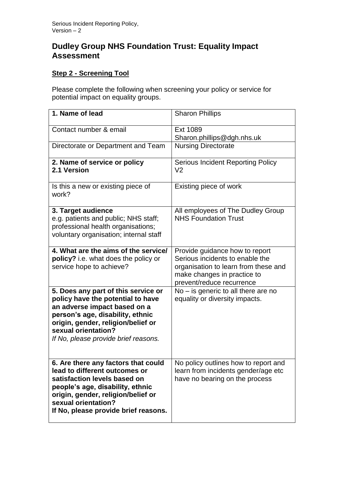## **Dudley Group NHS Foundation Trust: Equality Impact Assessment**

## **Step 2 - Screening Tool**

Please complete the following when screening your policy or service for potential impact on equality groups.

| 1. Name of lead                                                                                                                                                                                                                                   | <b>Sharon Phillips</b>                                                                                                                                                |
|---------------------------------------------------------------------------------------------------------------------------------------------------------------------------------------------------------------------------------------------------|-----------------------------------------------------------------------------------------------------------------------------------------------------------------------|
| Contact number & email                                                                                                                                                                                                                            | Ext 1089<br>Sharon.phillips@dgh.nhs.uk                                                                                                                                |
| Directorate or Department and Team                                                                                                                                                                                                                | <b>Nursing Directorate</b>                                                                                                                                            |
| 2. Name of service or policy<br>2.1 Version                                                                                                                                                                                                       | <b>Serious Incident Reporting Policy</b><br>V <sub>2</sub>                                                                                                            |
| Is this a new or existing piece of<br>work?                                                                                                                                                                                                       | Existing piece of work                                                                                                                                                |
| 3. Target audience<br>e.g. patients and public; NHS staff;<br>professional health organisations;<br>voluntary organisation; internal staff                                                                                                        | All employees of The Dudley Group<br><b>NHS Foundation Trust</b>                                                                                                      |
| 4. What are the aims of the service/<br>policy? i.e. what does the policy or<br>service hope to achieve?                                                                                                                                          | Provide guidance how to report<br>Serious incidents to enable the<br>organisation to learn from these and<br>make changes in practice to<br>prevent/reduce recurrence |
| 5. Does any part of this service or<br>policy have the potential to have<br>an adverse impact based on a<br>person's age, disability, ethnic<br>origin, gender, religion/belief or<br>sexual orientation?<br>If No, please provide brief reasons. | $No - is$ generic to all there are no<br>equality or diversity impacts.                                                                                               |
| 6. Are there any factors that could<br>lead to different outcomes or<br>satisfaction levels based on<br>people's age, disability, ethnic<br>origin, gender, religion/belief or<br>sexual orientation?<br>If No, please provide brief reasons.     | No policy outlines how to report and<br>learn from incidents gender/age etc<br>have no bearing on the process                                                         |